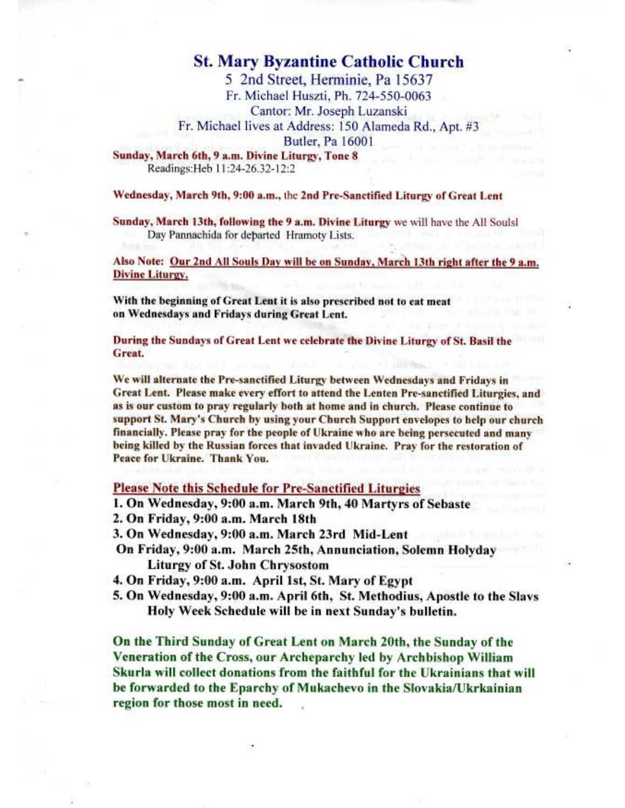## **St. Mary Byzantine Catholic Church**

5 2nd Street, Herminie, Pa 15637 Fr. Michael Huszti, Ph. 724-550-0063 Cantor: Mr. Joseph Luzanski Fr. Michael lives at Address: 150 Alameda Rd., Apt. #3 **Butler**, Pa 16001

Sunday, March 6th, 9 a.m. Divine Liturgy, Tone 8 Readings: Heb 11:24-26.32-12:2

### Wednesday, March 9th, 9:00 a.m., the 2nd Pre-Sanctified Liturgy of Great Lent

Sunday, March 13th, following the 9 a.m. Divine Liturgy we will have the All Soulsl Day Pannachida for departed Hramoty Lists.

Also Note: Our 2nd All Souls Day will be on Sunday, March 13th right after the 9 a.m. **Divine Liturgy.** 

With the beginning of Great Lent it is also prescribed not to eat meat on Wednesdays and Fridays during Great Lent.

During the Sundays of Great Lent we celebrate the Divine Liturgy of St. Basil the Great.

We will alternate the Pre-sanctified Liturgy between Wednesdays and Fridays in Great Lent. Please make every effort to attend the Lenten Pre-sanctified Liturgies, and as is our custom to pray regularly both at home and in church. Please continue to support St. Mary's Church by using your Church Support envelopes to help our church financially. Please pray for the people of Ukraine who are being persecuted and many being killed by the Russian forces that invaded Ukraine. Pray for the restoration of Peace for Ukraine. Thank You.

### **Please Note this Schedule for Pre-Sanctified Liturgies**

1. On Wednesday, 9:00 a.m. March 9th, 40 Martyrs of Sebaste

2. On Friday, 9:00 a.m. March 18th

3. On Wednesday, 9:00 a.m. March 23rd Mid-Lent

On Friday, 9:00 a.m. March 25th, Annunciation, Solemn Holyday **Liturgy of St. John Chrysostom** 

4. On Friday, 9:00 a.m. April 1st, St. Mary of Egypt

5. On Wednesday, 9:00 a.m. April 6th, St. Methodius, Apostle to the Slavs Holy Week Schedule will be in next Sunday's bulletin.

On the Third Sunday of Great Lent on March 20th, the Sunday of the Veneration of the Cross, our Archeparchy led by Archbishop William Skurla will collect donations from the faithful for the Ukrainians that will be forwarded to the Eparchy of Mukachevo in the Slovakia/Ukrkainian region for those most in need.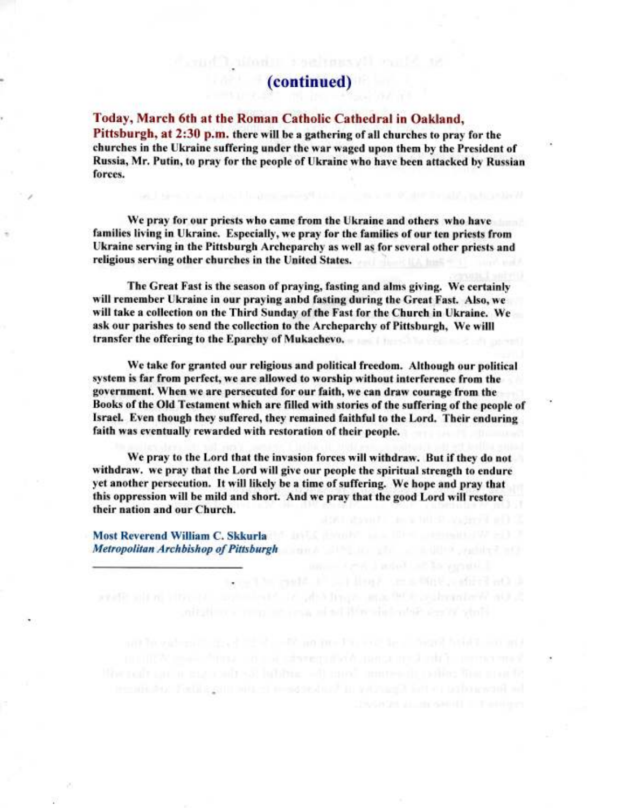# (continued)

#### Today, March 6th at the Roman Catholic Cathedral in Oakland,

Pittsburgh, at 2:30 p.m. there will be a gathering of all churches to pray for the churches in the Ukraine suffering under the war waged upon them by the President of Russia, Mr. Putin, to pray for the people of Ukraine who have been attacked by Russian forces.

We pray for our priests who came from the Ukraine and others who have families living in Ukraine. Especially, we pray for the families of our ten priests from Ukraine serving in the Pittsburgh Archeparchy as well as for several other priests and religious serving other churches in the United States.

The Great Fast is the season of praying, fasting and alms giving. We certainly will remember Ukraine in our praying anbd fasting during the Great Fast. Also, we will take a collection on the Third Sunday of the Fast for the Church in Ukraine. We ask our parishes to send the collection to the Archeparchy of Pittsburgh, We willl transfer the offering to the Eparchy of Mukachevo.

We take for granted our religious and political freedom. Although our political system is far from perfect, we are allowed to worship without interference from the government. When we are persecuted for our faith, we can draw courage from the Books of the Old Testament which are filled with stories of the suffering of the people of Israel. Even though they suffered, they remained faithful to the Lord. Their enduring faith was eventually rewarded with restoration of their people.

We pray to the Lord that the invasion forces will withdraw. But if they do not withdraw. we pray that the Lord will give our people the spiritual strength to endure yet another persecution. It will likely be a time of suffering. We hope and pray that this oppression will be mild and short. And we pray that the good Lord will restore their nation and our Church.

Most Reverend William C. Skkurla and a model and a model and a model of the second state of the **Metropolitan Archbishop of Pittsburgh Archives and Archives and Archives and Archives and Archives and Archives and Archives and Archives and Archives and Archives and Archives and Archives and Archives and Archives and A** 

he himerofice to the figures to second and the mission mission of odders of

CONTRACTOR IN THE REAL PROPERTY OF A LOCAL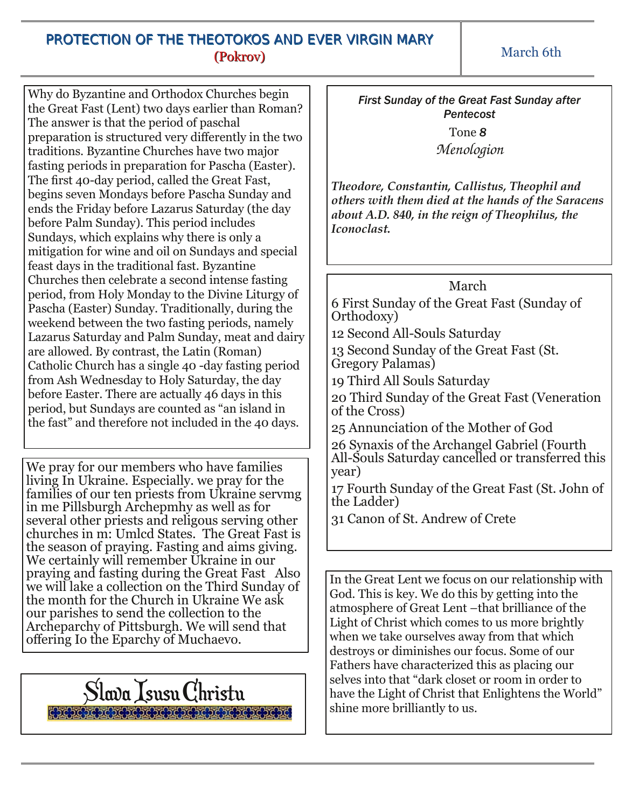# PROTECTION OF THE THEOTOKOS AND EVER VIRGIN MARY (Pokrov)

March 6th

Why do Byzantine and Orthodox Churches begin the Great Fast (Lent) two days earlier than Roman? The answer is that the period of paschal preparation is structured very differently in the two traditions. Byzantine Churches have two major fasting periods in preparation for Pascha (Easter). The first 40-day period, called the Great Fast, begins seven Mondays before Pascha Sunday and ends the Friday before Lazarus Saturday (the day before Palm Sunday). This period includes Sundays, which explains why there is only a mitigation for wine and oil on Sundays and special feast days in the traditional fast. Byzantine Churches then celebrate a second intense fasting period, from Holy Monday to the Divine Liturgy of Pascha (Easter) Sunday. Traditionally, during the weekend between the two fasting periods, namely Lazarus Saturday and Palm Sunday, meat and dairy are allowed. By contrast, the Latin (Roman) Catholic Church has a single 40 -day fasting period from Ash Wednesday to Holy Saturday, the day before Easter. There are actually 46 days in this period, but Sundays are counted as "an island in the fast" and therefore not included in the 40 days.

We pray for our members who have families living In Ukraine. Especially. we pray for the families of our ten priests from Ukraine servmg in me Pillsburgh Archepmhy as well as for several other priests and religous serving other churches in m: Umlcd States. The Great Fast is the season of praying. Fasting and aims giving. We certainly will remember Ukraine in our praying and fasting during the Great Fast Also we will lake a collection on the Third Sunday of the month for the Church in Ukraine We ask our parishes to send the collection to the Archeparchy of Pittsburgh. We will send that offering Io the Eparchy of Muchaevo.

Slava IsusuChristu

*First Sunday of the Great Fast Sunday after Pentecost*

> Tone *8 Menologion*

*Theodore, Constantin, Callistus, Theophil and others with them died at the hands of the Saracens about A.D. 840, in the reign of Theophilus, the Iconoclast.*

### March

6 First Sunday of the Great Fast (Sunday of Orthodoxy)

12 Second All-Souls Saturday

13 Second Sunday of the Great Fast (St. Gregory Palamas)

19 Third All Souls Saturday

20 Third Sunday of the Great Fast (Veneration of the Cross)

25 Annunciation of the Mother of God

26 Synaxis of the Archangel Gabriel (Fourth All-Souls Saturday cancelled or transferred this year)

17 Fourth Sunday of the Great Fast (St. John of the Ladder)

31 Canon of St. Andrew of Crete

In the Great Lent we focus on our relationship with God. This is key. We do this by getting into the atmosphere of Great Lent –that brilliance of the Light of Christ which comes to us more brightly when we take ourselves away from that which destroys or diminishes our focus. Some of our Fathers have characterized this as placing our selves into that "dark closet or room in order to have the Light of Christ that Enlightens the World" shine more brilliantly to us.